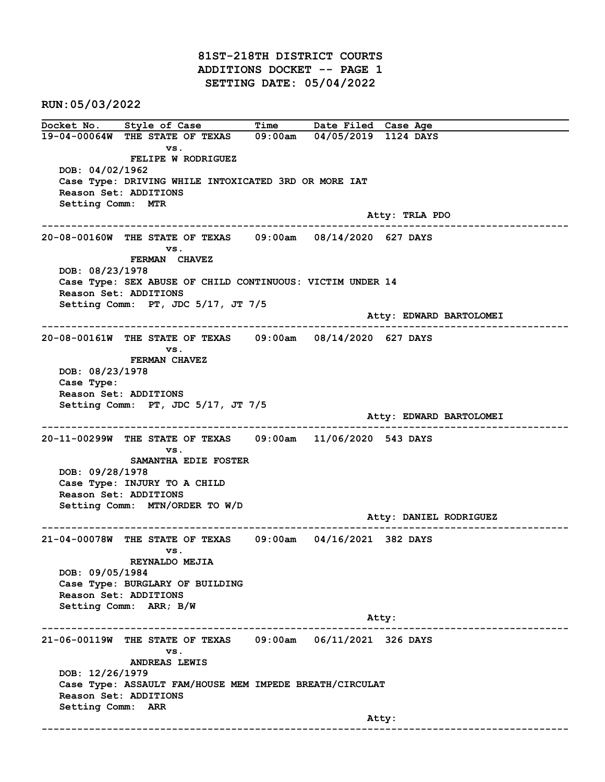81ST-218TH DISTRICT COURTS ADDITIONS DOCKET -- PAGE 1 SETTING DATE: 05/04/2022

RUN:05/03/2022

Docket No. Style of Case Time Date Filed Case Age 19-04-00064W THE STATE OF TEXAS 09:00am 04/05/2019 1124 DAYS vs. FELIPE W RODRIGUEZ DOB: 04/02/1962 Case Type: DRIVING WHILE INTOXICATED 3RD OR MORE IAT Reason Set: ADDITIONS Setting Comm: MTR Atty: TRLA PDO ------------------------------------------------------------------------------------------------------------------------ 20-08-00160W THE STATE OF TEXAS 09:00am 08/14/2020 627 DAYS vs. FERMAN CHAVEZ DOB: 08/23/1978 Case Type: SEX ABUSE OF CHILD CONTINUOUS: VICTIM UNDER 14 Reason Set: ADDITIONS Setting Comm: PT, JDC 5/17, JT 7/5 Atty: EDWARD BARTOLOMEI ------------------------------------------------------------------------------------------------------------------------ 20-08-00161W THE STATE OF TEXAS 09:00am 08/14/2020 627 DAYS vs. FERMAN CHAVEZ DOB: 08/23/1978 Case Type: Reason Set: ADDITIONS Setting Comm: PT, JDC 5/17, JT 7/5 Atty: EDWARD BARTOLOMEI ------------------------------------------------------------------------------------------------------------------------ 20-11-00299W THE STATE OF TEXAS 09:00am 11/06/2020 543 DAYS vs. SAMANTHA EDIE FOSTER DOB: 09/28/1978 Case Type: INJURY TO A CHILD Reason Set: ADDITIONS Setting Comm: MTN/ORDER TO W/D Atty: DANIEL RODRIGUEZ ------------------------------------------------------------------------------------------------------------------------ 21-04-00078W THE STATE OF TEXAS 09:00am 04/16/2021 382 DAYS vs. REYNALDO MEJIA DOB: 09/05/1984 Case Type: BURGLARY OF BUILDING Reason Set: ADDITIONS Setting Comm: ARR; B/W example of the contract of the contract of the contract of the contract of the contract of the contract of the contract of the contract of the contract of the contract of the contract of the contract of the contract of the ------------------------------------------------------------------------------------------------------------------------ 21-06-00119W THE STATE OF TEXAS 09:00am 06/11/2021 326 DAYS vs. ANDREAS LEWIS DOB: 12/26/1979 Case Type: ASSAULT FAM/HOUSE MEM IMPEDE BREATH/CIRCULAT Reason Set: ADDITIONS Setting Comm: ARR example of the contract of the contract of the contract of the contract of the contract of the contract of the contract of the contract of the contract of the contract of the contract of the contract of the contract of the ------------------------------------------------------------------------------------------------------------------------